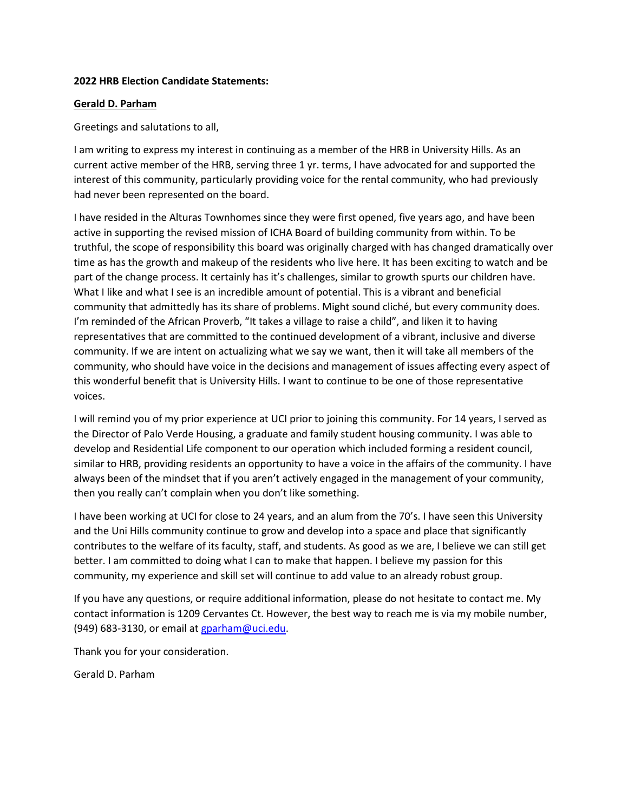### **2022 HRB Election Candidate Statements:**

### **Gerald D. Parham**

Greetings and salutations to all,

I am writing to express my interest in continuing as a member of the HRB in University Hills. As an current active member of the HRB, serving three 1 yr. terms, I have advocated for and supported the interest of this community, particularly providing voice for the rental community, who had previously had never been represented on the board.

I have resided in the Alturas Townhomes since they were first opened, five years ago, and have been active in supporting the revised mission of ICHA Board of building community from within. To be truthful, the scope of responsibility this board was originally charged with has changed dramatically over time as has the growth and makeup of the residents who live here. It has been exciting to watch and be part of the change process. It certainly has it's challenges, similar to growth spurts our children have. What I like and what I see is an incredible amount of potential. This is a vibrant and beneficial community that admittedly has its share of problems. Might sound cliché, but every community does. I'm reminded of the African Proverb, "It takes a village to raise a child", and liken it to having representatives that are committed to the continued development of a vibrant, inclusive and diverse community. If we are intent on actualizing what we say we want, then it will take all members of the community, who should have voice in the decisions and management of issues affecting every aspect of this wonderful benefit that is University Hills. I want to continue to be one of those representative voices.

I will remind you of my prior experience at UCI prior to joining this community. For 14 years, I served as the Director of Palo Verde Housing, a graduate and family student housing community. I was able to develop and Residential Life component to our operation which included forming a resident council, similar to HRB, providing residents an opportunity to have a voice in the affairs of the community. I have always been of the mindset that if you aren't actively engaged in the management of your community, then you really can't complain when you don't like something.

I have been working at UCI for close to 24 years, and an alum from the 70's. I have seen this University and the Uni Hills community continue to grow and develop into a space and place that significantly contributes to the welfare of its faculty, staff, and students. As good as we are, I believe we can still get better. I am committed to doing what I can to make that happen. I believe my passion for this community, my experience and skill set will continue to add value to an already robust group.

If you have any questions, or require additional information, please do not hesitate to contact me. My contact information is 1209 Cervantes Ct. However, the best way to reach me is via my mobile number, (949) 683-3130, or email at [gparham@uci.edu.](mailto:gparham@uci.edu)

Thank you for your consideration.

Gerald D. Parham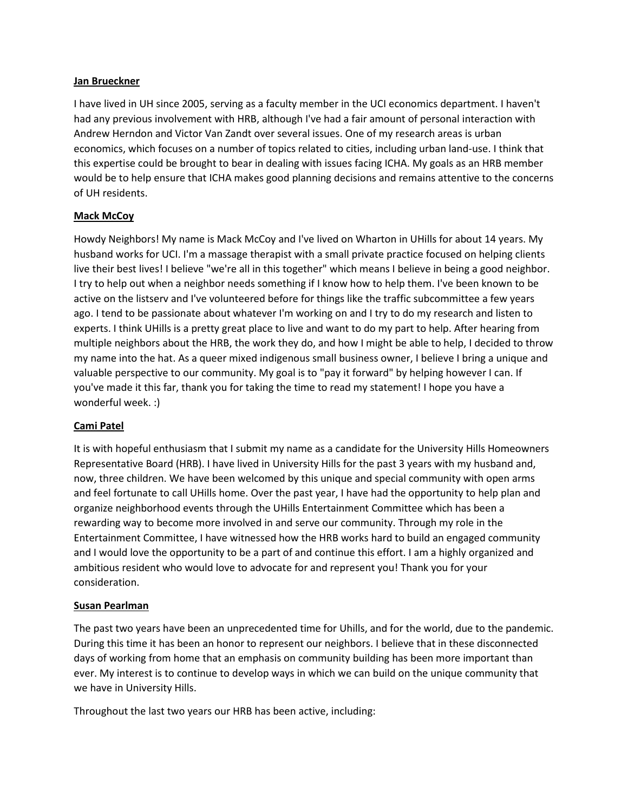#### **Jan Brueckner**

I have lived in UH since 2005, serving as a faculty member in the UCI economics department. I haven't had any previous involvement with HRB, although I've had a fair amount of personal interaction with Andrew Herndon and Victor Van Zandt over several issues. One of my research areas is urban economics, which focuses on a number of topics related to cities, including urban land-use. I think that this expertise could be brought to bear in dealing with issues facing ICHA. My goals as an HRB member would be to help ensure that ICHA makes good planning decisions and remains attentive to the concerns of UH residents.

# **Mack McCoy**

Howdy Neighbors! My name is Mack McCoy and I've lived on Wharton in UHills for about 14 years. My husband works for UCI. I'm a massage therapist with a small private practice focused on helping clients live their best lives! I believe "we're all in this together" which means I believe in being a good neighbor. I try to help out when a neighbor needs something if I know how to help them. I've been known to be active on the listserv and I've volunteered before for things like the traffic subcommittee a few years ago. I tend to be passionate about whatever I'm working on and I try to do my research and listen to experts. I think UHills is a pretty great place to live and want to do my part to help. After hearing from multiple neighbors about the HRB, the work they do, and how I might be able to help, I decided to throw my name into the hat. As a queer mixed indigenous small business owner, I believe I bring a unique and valuable perspective to our community. My goal is to "pay it forward" by helping however I can. If you've made it this far, thank you for taking the time to read my statement! I hope you have a wonderful week. :)

# **Cami Patel**

It is with hopeful enthusiasm that I submit my name as a candidate for the University Hills Homeowners Representative Board (HRB). I have lived in University Hills for the past 3 years with my husband and, now, three children. We have been welcomed by this unique and special community with open arms and feel fortunate to call UHills home. Over the past year, I have had the opportunity to help plan and organize neighborhood events through the UHills Entertainment Committee which has been a rewarding way to become more involved in and serve our community. Through my role in the Entertainment Committee, I have witnessed how the HRB works hard to build an engaged community and I would love the opportunity to be a part of and continue this effort. I am a highly organized and ambitious resident who would love to advocate for and represent you! Thank you for your consideration.

#### **Susan Pearlman**

The past two years have been an unprecedented time for Uhills, and for the world, due to the pandemic. During this time it has been an honor to represent our neighbors. I believe that in these disconnected days of working from home that an emphasis on community building has been more important than ever. My interest is to continue to develop ways in which we can build on the unique community that we have in University Hills.

Throughout the last two years our HRB has been active, including: